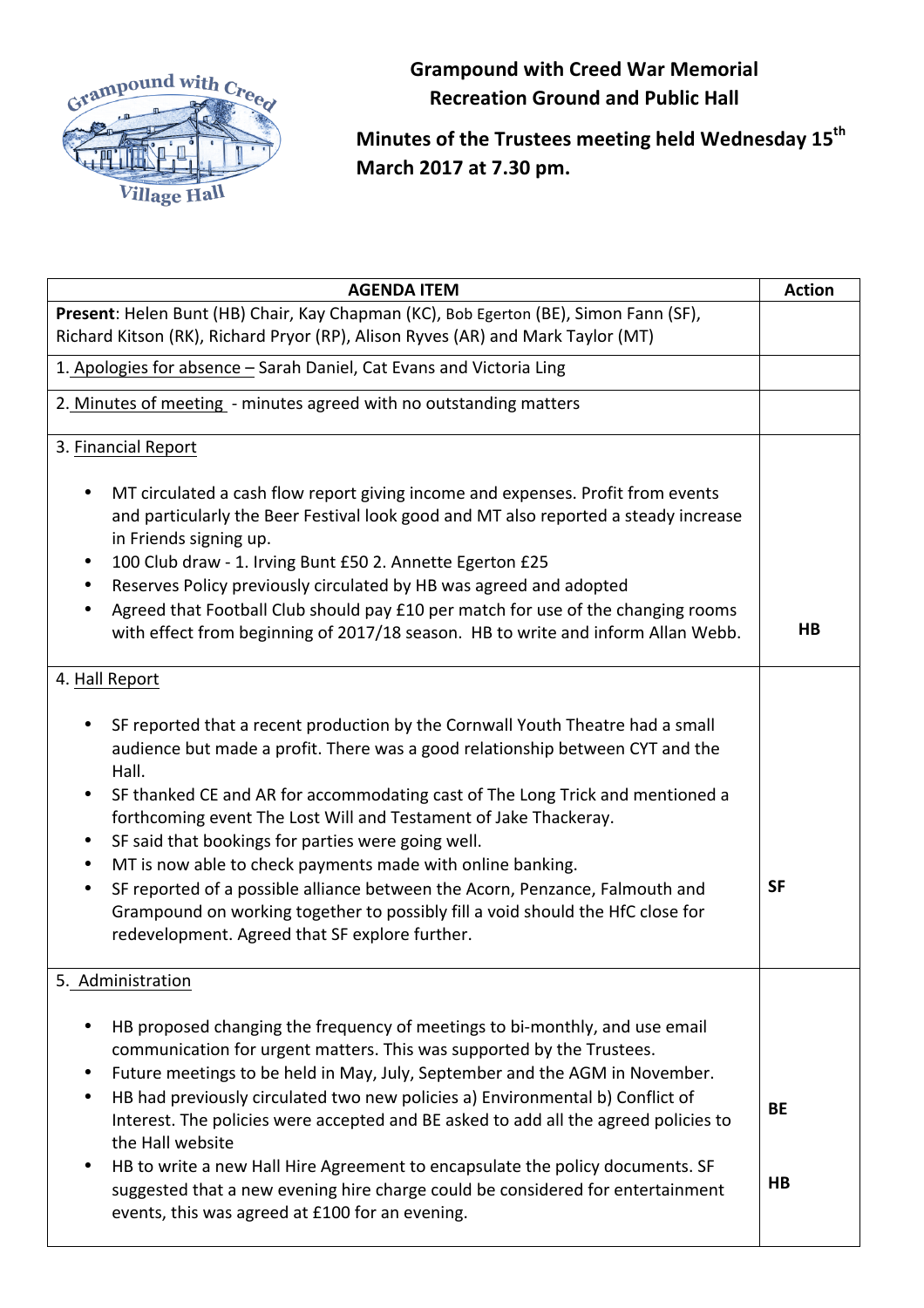

**Grampound with Creed War Memorial Recreation Ground and Public Hall** 

**Minutes of the Trustees meeting held Wednesday 15th March 2017 at 7.30 pm.**

| <b>AGENDA ITEM</b>                                                                                                                                                                                                                                                                                                                                                                                                                                                                                                                                                                                                                                                                      | <b>Action</b>  |
|-----------------------------------------------------------------------------------------------------------------------------------------------------------------------------------------------------------------------------------------------------------------------------------------------------------------------------------------------------------------------------------------------------------------------------------------------------------------------------------------------------------------------------------------------------------------------------------------------------------------------------------------------------------------------------------------|----------------|
| Present: Helen Bunt (HB) Chair, Kay Chapman (KC), Bob Egerton (BE), Simon Fann (SF),<br>Richard Kitson (RK), Richard Pryor (RP), Alison Ryves (AR) and Mark Taylor (MT)                                                                                                                                                                                                                                                                                                                                                                                                                                                                                                                 |                |
| 1. Apologies for absence - Sarah Daniel, Cat Evans and Victoria Ling                                                                                                                                                                                                                                                                                                                                                                                                                                                                                                                                                                                                                    |                |
| 2. Minutes of meeting - minutes agreed with no outstanding matters                                                                                                                                                                                                                                                                                                                                                                                                                                                                                                                                                                                                                      |                |
|                                                                                                                                                                                                                                                                                                                                                                                                                                                                                                                                                                                                                                                                                         |                |
| 3. Financial Report                                                                                                                                                                                                                                                                                                                                                                                                                                                                                                                                                                                                                                                                     |                |
| MT circulated a cash flow report giving income and expenses. Profit from events<br>and particularly the Beer Festival look good and MT also reported a steady increase<br>in Friends signing up.<br>100 Club draw - 1. Irving Bunt £50 2. Annette Egerton £25<br>Reserves Policy previously circulated by HB was agreed and adopted<br>Agreed that Football Club should pay £10 per match for use of the changing rooms<br>with effect from beginning of 2017/18 season. HB to write and inform Allan Webb.                                                                                                                                                                             | H <sub>B</sub> |
| 4. Hall Report                                                                                                                                                                                                                                                                                                                                                                                                                                                                                                                                                                                                                                                                          |                |
| SF reported that a recent production by the Cornwall Youth Theatre had a small<br>audience but made a profit. There was a good relationship between CYT and the<br>Hall.<br>SF thanked CE and AR for accommodating cast of The Long Trick and mentioned a<br>forthcoming event The Lost Will and Testament of Jake Thackeray.<br>SF said that bookings for parties were going well.<br>٠<br>MT is now able to check payments made with online banking.<br>$\bullet$<br>SF reported of a possible alliance between the Acorn, Penzance, Falmouth and<br>Grampound on working together to possibly fill a void should the HfC close for<br>redevelopment. Agreed that SF explore further. | <b>SF</b>      |
| 5. Administration                                                                                                                                                                                                                                                                                                                                                                                                                                                                                                                                                                                                                                                                       |                |
| HB proposed changing the frequency of meetings to bi-monthly, and use email<br>communication for urgent matters. This was supported by the Trustees.<br>Future meetings to be held in May, July, September and the AGM in November.<br>HB had previously circulated two new policies a) Environmental b) Conflict of<br>Interest. The policies were accepted and BE asked to add all the agreed policies to<br>the Hall website<br>HB to write a new Hall Hire Agreement to encapsulate the policy documents. SF                                                                                                                                                                        | <b>BE</b>      |
| suggested that a new evening hire charge could be considered for entertainment<br>events, this was agreed at £100 for an evening.                                                                                                                                                                                                                                                                                                                                                                                                                                                                                                                                                       | HB             |